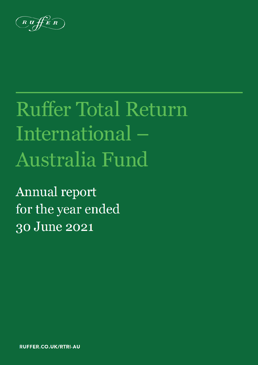$\overrightarrow{R}$ 

# **Ruffer Total Return** International-Australia Fund

**Annual report** for the year ended 30 June 2021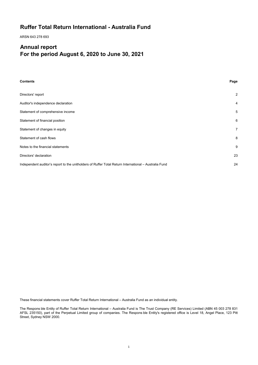# **Ruffer Total Return International - Australia Fund**

ARSN 643 278 693

# **Annual report For the period August 6, 2020 to June 30, 2021**

| <b>Contents</b>                                                                                       | Page           |
|-------------------------------------------------------------------------------------------------------|----------------|
| Directors' report                                                                                     | $\overline{2}$ |
| Auditor's independence declaration                                                                    | 4              |
| Statement of comprehensive income                                                                     | 5              |
| Statement of financial position                                                                       | 6              |
| Statement of changes in equity                                                                        | 7              |
| Statement of cash flows                                                                               | 8              |
| Notes to the financial statements                                                                     | 9              |
| Directors' declaration                                                                                | 23             |
| Independent auditor's report to the unitholders of Ruffer Total Return International – Australia Fund | 24             |

These financial statements cover Ruffer Total Return International – Australia Fund as an individual entity.

The Respons ble Entity of Ruffer Total Return International – Australia Fund is The Trust Company (RE Services) Limited (ABN 45 003 278 831 AFSL 235150), part of the Perpetual Limited group of companies. The Respons ble Entity's registered office is Level 18, Angel Place, 123 Pitt Street, Sydney NSW 2000.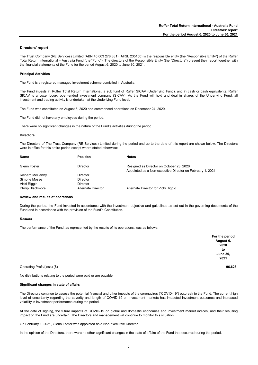#### **Directors' report**

The Trust Company (RE Services) Limited (ABN 45 003 278 831) (AFSL 235150) is the responsible entity (the "Responsible Entity") of the Ruffer Total Return International – Australia Fund (the "Fund"). The directors of the Responsible Entity (the "Directors") present their report together with the financial statements of the Fund for the period August 6, 2020 to June 30, 2021.

#### **Principal Activities**

The Fund is a registered managed investment scheme domiciled in Australia.

The Fund invests in Ruffer Total Return International, a sub fund of Ruffer SICAV (Underlying Fund), and in cash or cash equivalents. Ruffer SICAV is a Luxembourg open-ended investment company (SICAV). As the Fund will hold and deal in shares of the Underlying Fund, all investment and trading activity is undertaken at the Underlying Fund level.

The Fund was constituted on August 6, 2020 and commenced operations on December 24, 2020.

The Fund did not have any employees during the period.

There were no significant changes in the nature of the Fund's activities during the period.

#### **Directors**

The Directors of The Trust Company (RE Services) Limited during the period and up to the date of this report are shown below. The Directors were in office for this entire period except where stated otherwise:

| <b>Position</b>           | <b>Notes</b>                                                                                          |
|---------------------------|-------------------------------------------------------------------------------------------------------|
| Director                  | Resigned as Director on October 23, 2020<br>Appointed as a Non-executive Director on February 1, 2021 |
| <b>Director</b>           |                                                                                                       |
| <b>Director</b>           |                                                                                                       |
| <b>Director</b>           |                                                                                                       |
| <b>Alternate Director</b> | Alternate Director for Vicki Riggio                                                                   |
|                           |                                                                                                       |

#### **Review and results of operations**

During the period, the Fund invested in accordance with the investment objective and guidelines as set out in the governing documents of the Fund and in accordance with the provision of the Fund's Constitution.

#### *Results*

The performance of the Fund, as represented by the results of its operations, was as follows:

| For the period  |
|-----------------|
| August 6,       |
| 2020            |
| to              |
| <b>June 30,</b> |
| 2021            |
|                 |

Operating Profit/(loss) (\$) **96,628**

No distr butions relating to the period were paid or are payable.

#### **Significant changes in state of affairs**

The Directors continue to assess the potential financial and other impacts of the coronavirus ("COVID-19") outbreak to the Fund. The current highlevel of uncertainty regarding the severity and length of COVID-19 on investment markets has impacted investment outcomes and increased volatility in investment performance during the period.

At the date of signing, the future impacts of COVID-19 on global and domestic economies and investment market indices, and their resulting impact on the Fund are uncertain. The Directors and management will continue to monitor this situation.

On February 1, 2021, Glenn Foster was appointed as a Non-executive Director.

In the opinion of the Directors, there were no other significant changes in the state of affairs of the Fund that occurred during the period.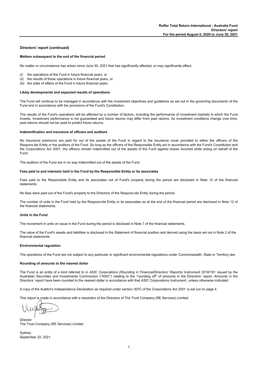#### **Directors' report (continued)**

#### **Matters subsequent to the end of the financial period**

No matter or circumstance has arisen since June 30, 2021 that has significantly affected, or may significantly affect:

- (i) the operations of the Fund in future financial years, or
- (ii) the results of those operations in future financial years, or
- (iii) the state of affairs of the Fund in future financial years.

#### **Likely developments and expected results of operations**

The Fund will continue to be managed in accordance with the investment objectives and guidelines as set out in the governing documents of the Fund and in accordance with the provisions of the Fund's Constitution.

The results of the Fund's operations will be affected by a number of factors, including the performance of investment markets in which the Fund invests. Investment performance is not guaranteed and future returns may differ from past returns. As investment conditions change over time, past returns should not be used to predict future returns.

#### **Indemnification and insurance of officers and auditors**

No insurance premiums are paid for out of the assets of the Fund in regard to the insurance cover provided to either the officers of the Respons ble Entity or the auditors of the Fund. So long as the officers of the Responsible Entity act in accordance with the Fund's Constitution and the *Corporations Act 2001,* the officers remain indemnified out of the assets of the Fund against losses incurred while acting on behalf of the Fund.

The auditors of the Fund are in no way indemnified out of the assets of the Fund.

#### **Fees paid to and interests held in the Fund by the Responsible Entity or its associates**

Fees paid to the Responsible Entity and its associates out of Fund's property during the period are disclosed in Note 12 of the financial statements.

No fees were paid out of the Fund's property to the Directors of the Respons ble Entity during the period.

The number of units in the Fund held by the Respons ble Entity or its associates as at the end of the financial period are disclosed in Note 12 of the financial statements.

#### **Units in the Fund**

The movement in units on issue in the Fund during the period is disclosed in Note 7 of the financial statements.

The value of the Fund's assets and liabilities is disclosed in the Statement of financial position and derived using the basis set out in Note 2 of the financial statements.

#### **Environmental regulation**

The operations of the Fund are not subject to any particular or significant environmental regulations under Commonwealth, State or Territory law.

#### **Rounding of amounts to the nearest dollar**

The Fund is an entity of a kind referred to in *ASIC Corporations (Rounding in Financial/Directors' Reports) Instrument 2016/191* issued by the Australian Securities and Investments Commission ("ASIC") relating to the "rounding off" of amounts in the Directors' report. Amounts in the Directors' report have been rounded to the nearest dollar in accordance with that *ASIC Corporations Instrument* , unless otherwise indicated.

A copy of the Auditor's Independence Declaration as required under section 307C of the *Corporations Act 2001* is set out on page 4.

This report is made in accordance with a resolution of the Directors of The Trust Company (RE Services) Limited.

Director The Trust Company (RE Services) Limited

Sydney September 22, 2021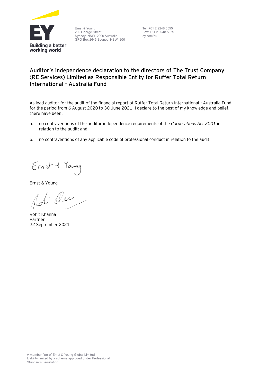

Ernst & Young 200 George Street Sydney NSW 2000 Australia GPO Box 2646 Sydney NSW 2001 Tel: +61 2 9248 5555 Fax: +61 2 9248 5959 ey.com/au

# **Auditor's independence declaration to the directors of The Trust Company (RE Services) Limited as Responsible Entity for Ruffer Total Return International - Australia Fund**

As lead auditor for the audit of the financial report of Ruffer Total Return International - Australia Fund for the period from 6 August 2020 to 30 June 2021, I declare to the best of my knowledge and belief, there have been:

- a. no contraventions of the auditor independence requirements of the *Corporations Act 2001* in relation to the audit; and
- b. no contraventions of any applicable code of professional conduct in relation to the audit.

Ernst 1 Young

Ernst & Young

Ou

Rohit Khanna Partner 22 September 2021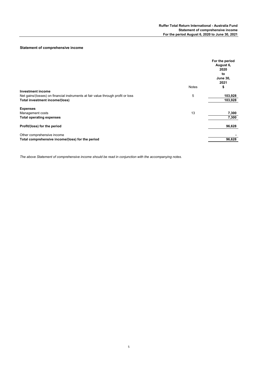#### **Statement of comprehensive income**

|                                                                                  |              | For the period<br>August 6,<br>2020<br>to<br><b>June 30,</b><br>2021 |
|----------------------------------------------------------------------------------|--------------|----------------------------------------------------------------------|
|                                                                                  | <b>Notes</b> | \$                                                                   |
| <b>Investment income</b>                                                         |              |                                                                      |
| Net gains/(losses) on financial instruments at fair value through profit or loss | 5            | 103,928                                                              |
| Total investment income/(loss)                                                   |              | 103,928                                                              |
| <b>Expenses</b>                                                                  |              |                                                                      |
| Management costs                                                                 | 13           | 7,300                                                                |
| <b>Total operating expenses</b>                                                  |              | 7,300                                                                |
| Profit/(loss) for the period                                                     |              | 96,628                                                               |
| Other comprehensive income                                                       |              |                                                                      |
| Total comprehensive income/(loss) for the period                                 |              | 96,628                                                               |
|                                                                                  |              |                                                                      |

*The above Statement of comprehensive income should be read in conjunction with the accompanying notes.*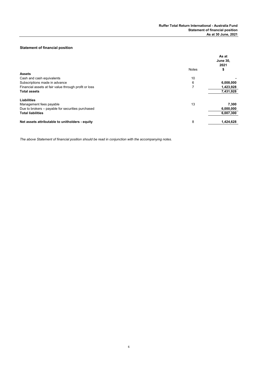#### **Statement of financial position**

|                                                       | As at<br><b>June 30,</b><br>2021 |
|-------------------------------------------------------|----------------------------------|
| <b>Notes</b>                                          | \$                               |
| <b>Assets</b>                                         |                                  |
| 10<br>Cash and cash equivalents                       |                                  |
| Subscriptions made in advance<br>6                    | 6,008,000                        |
| Financial assets at fair value through profit or loss | 1,423,928                        |
| <b>Total assets</b>                                   | 7,431,928                        |
| Liabilities                                           |                                  |
| 13<br>Management fees payable                         | 7,300                            |
| Due to brokers – payable for securities purchased     | 6,000,000                        |
| <b>Total liabilities</b>                              | 6,007,300                        |
| 8<br>Net assets attributable to unitholders - equity  | 1,424,628                        |

*The above Statement of financial position should be read in conjunction with the accompanying notes.*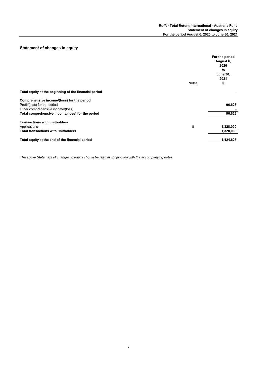### **Statement of changes in equity**

|                                                       |              | For the period<br>August 6,<br>2020<br>to<br><b>June 30,</b><br>2021 |
|-------------------------------------------------------|--------------|----------------------------------------------------------------------|
|                                                       | <b>Notes</b> | \$                                                                   |
| Total equity at the beginning of the financial period |              |                                                                      |
| Comprehensive income/(loss) for the period            |              |                                                                      |
| Profit/(loss) for the period                          |              | 96,628                                                               |
| Other comprehensive income/(loss)                     |              |                                                                      |
| Total comprehensive income/(loss) for the period      |              | 96,628                                                               |
| <b>Transactions with unitholders</b>                  |              |                                                                      |
| Applications                                          | 8            | 1,328,000                                                            |
| <b>Total transactions with unitholders</b>            |              | 1,328,000                                                            |
| Total equity at the end of the financial period       |              | 1,424,628                                                            |
|                                                       |              |                                                                      |

*The above Statement of changes in equity should be read in conjunction with the accompanying notes.*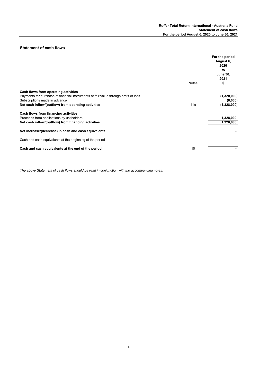#### **Statement of cash flows**

| Notes                                                                               | For the period<br>August 6,<br>2020<br>to<br><b>June 30,</b><br>2021 |
|-------------------------------------------------------------------------------------|----------------------------------------------------------------------|
|                                                                                     | \$                                                                   |
| Cash flows from operating activities                                                |                                                                      |
| Payments for purchase of financial instruments at fair value through profit or loss | (1,320,000)                                                          |
| Subscriptions made in advance                                                       | (8,000)                                                              |
| Net cash inflow/(outflow) from operating activities<br>11a                          | (1,328,000)                                                          |
| Cash flows from financing activities                                                |                                                                      |
| Proceeds from applications by unitholders                                           | 1,328,000                                                            |
| Net cash inflow/(outflow) from financing activities                                 | 1,328,000                                                            |
| Net increase/(decrease) in cash and cash equivalents                                |                                                                      |
| Cash and cash equivalents at the beginning of the period                            |                                                                      |
| Cash and cash equivalents at the end of the period<br>10                            |                                                                      |

*The above Statement of cash flows should be read in conjunction with the accompanying notes.*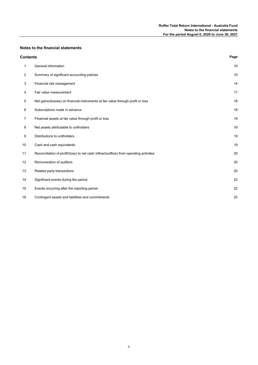#### **Notes to the financial statements**

| <b>Contents</b>   |                                                                                        | Page |
|-------------------|----------------------------------------------------------------------------------------|------|
| 1                 | General information                                                                    | 10   |
| 2                 | Summary of significant accounting policies                                             | 10   |
| 3                 | Financial risk management                                                              | 14   |
| 4                 | Fair value measurement                                                                 | 17   |
| 5                 | Net gains/(losses) on financial instruments at fair value through profit or loss       | 18   |
| 6                 | Subscriptions made in advance                                                          | 18   |
| 7                 | Financial assets at fair value through profit or loss                                  | 19   |
| 8                 | Net assets attributable to unitholders                                                 | 19   |
| 9                 | Distributions to unitholders                                                           | 19   |
| 10                | Cash and cash equivalents                                                              | 19   |
| 11                | Reconciliation of profit/(loss) to net cash inflow/(outflow) from operating activities | 20   |
| $12 \overline{ }$ | Remuneration of auditors                                                               | 20   |
| 13                | Related party transactions                                                             | 20   |
| 14                | Significant events during the period                                                   | 22   |
| 15                | Events occurring after the reporting period                                            | 22   |
| 16                | Contingent assets and liabilities and commitments                                      | 22   |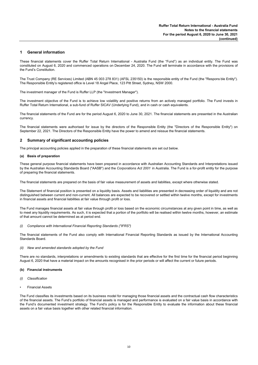#### **1 General information**

These financial statements cover the Ruffer Total Return International - Australia Fund (the "Fund") as an individual entity. The Fund was constituted on August 6, 2020 and commenced operations on December 24, 2020. The Fund will terminate in accordance with the provisions of the Fund's Constitution.

The Trust Company (RE Services) Limited (ABN 45 003 278 831) (AFSL 235150) is the responsible entity of the Fund (the "Respons ble Entity"). The Responsible Entity's registered office is Level 18 Angel Place, 123 Pitt Street, Sydney, NSW 2000.

The investment manager of the Fund is Ruffer LLP (the "Investment Manager").

The investment objective of the Fund is to achieve low volatility and positive returns from an actively managed portfolio. The Fund invests in Ruffer Total Return International, a sub-fund of Ruffer SICAV (Underlying Fund), and in cash or cash equivalents.

The financial statements of the Fund are for the period August 6, 2020 to June 30, 2021. The financial statements are presented in the Australian currency.

The financial statements were authorised for issue by the directors of the Responsible Entity (the "Directors of the Responsible Entity") on September 22, 2021. The Directors of the Responsible Entity have the power to amend and reissue the financial statements.

#### **2 Summary of significant accounting policies**

The principal accounting policies applied in the preparation of these financial statements are set out below.

#### **(a) Basis of preparation**

These general purpose financial statements have been prepared in accordance with Australian Accounting Standards and Interpretations issued by the Australian Accounting Standards Board ("AASB") and the *Corporations Act 2001* in Australia. The Fund is a for-profit entity for the purpose of preparing the financial statements.

The financial statements are prepared on the basis of fair value measurement of assets and liabilities, except where otherwise stated.

The Statement of financial position is presented on a liquidity basis. Assets and liabilities are presented in decreasing order of liquidity and are not distinguished between current and non-current. All balances are expected to be recovered or settled within twelve months, except for investments in financial assets and financial liabilities at fair value through profit or loss.

The Fund manages financial assets at fair value through profit or loss based on the economic circumstances at any given point in time, as well as to meet any liquidity requirements. As such, it is expected that a portion of the portfolio will be realised within twelve months, however, an estimate of that amount cannot be determined as at period end.

#### *(i) Compliance with International Financial Reporting Standards ("IFRS")*

The financial statements of the Fund also comply with International Financial Reporting Standards as issued by the International Accounting Standards Board.

#### *(ii) New and amended standards adopted by the Fund*

There are no standards, interpretations or amendments to existing standards that are effective for the first time for the financial period beginning August 6, 2020 that have a material impact on the amounts recognised in the prior periods or will affect the current or future periods.

#### **(b) Financial instruments**

- *(i) Classification*
- Financial Assets

The Fund classifies its investments based on its business model for managing those financial assets and the contractual cash flow characteristics of the financial assets. The Fund's portfolio of financial assets is managed and performance is evaluated on a fair value basis in accordance with the Fund's documented investment strategy. The Fund's policy is for the Responsible Entity to evaluate the information about these financial assets on a fair value basis together with other related financial information.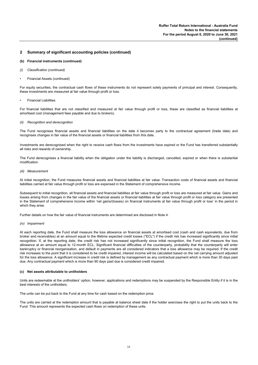#### **(b) Financial instruments (continued)**

- *(i) Classification (continued)*
- Financial Assets (continued)

For equity securities, the contractual cash flows of these instruments do not represent solely payments of principal and interest. Consequently, these investments are measured at fair value through profit or loss.

• Financial Liabilities

For financial liabilities that are not classified and measured at fair value through profit or loss, these are classified as financial liabilities at amortised cost (management fees payable and due to brokers).

#### *(ii) Recognition and derecognition*

The Fund recognises financial assets and financial liabilities on the date it becomes party to the contractual agreement (trade date) and recognises changes in fair value of the financial assets or financial liabilities from this date.

Investments are derecognised when the right to receive cash flows from the investments have expired or the Fund has transferred substantially all risks and rewards of ownership.

The Fund derecognises a financial liability when the obligation under the liability is discharged, cancelled, expired or when there is substantial modification.

#### *(iii) Measurement*

At initial recognition, the Fund measures financial assets and financial liabilities at fair value. Transaction costs of financial assets and financial liabilities carried at fair value through profit or loss are expensed in the Statement of comprehensive income.

Subsequent to initial recognition, all financial assets and financial liabilities at fair value through profit or loss are measured at fair value. Gains and losses arising from changes in the fair value of the financial assets or financial liabilities at fair value through profit or loss category are presented in the Statement of comprehensive income within 'net gains/(losses) on financial instruments at fair value through profit or loss' in the period in which they arise.

Further details on how the fair value of financial instruments are determined are disclosed in Note 4.

#### *(iv) Impairment*

At each reporting date, the Fund shall measure the loss allowance on financial assets at amortised cost (cash and cash equivalents, due from broker and receivables) at an amount equal to the lifetime expected credit losses ("ECL") if the credit risk has increased significantly since initial recognition. If, at the reporting date, the credit risk has not increased significantly since initial recognition, the Fund shall measure the loss allowance at an amount equal to 12-month ECL. Significant financial difficulties of the counterparty, probability that the counterparty will enter bankruptcy or financial reorganisation, and default in payments are all considered indicators that a loss allowance may be required. If the credit risk increases to the point that it is considered to be credit impaired, interest income will be calculated based on the net carrying amount adjusted for the loss allowance. A significant increase in credit risk is defined by management as any contractual payment which is more than 30 days past due. Any contractual payment which is more than 90 days past due is considered credit impaired.

#### **(c) Net assets attributable to unitholders**

Units are redeemable at the unitholders' option, however, applications and redemptions may be suspended by the Responsible Entity if it is in the best interests of the unitholders.

The units can be put back to the Fund at any time for cash based on the redemption price.

The units are carried at the redemption amount that is payable at balance sheet date if the holder exercises the right to put the units back to the Fund. This amount represents the expected cash flows on redemption of these units.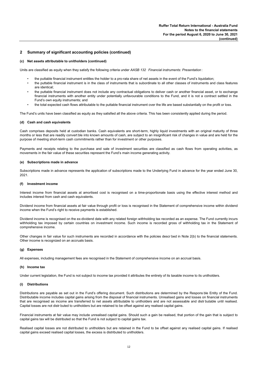#### **(c) Net assets attributable to unitholders (continued)**

Units are classified as equity when they satisfy the following criteria under *AASB 132 Financial instruments: Presentation* :

- the puttable financial instrument entitles the holder to a pro-rata share of net assets in the event of the Fund's liquidation;
- the puttable financial instrument is in the class of instruments that is subordinate to all other classes of instruments and class features are identical;
- the puttable financial instrument does not include any contractual obligations to deliver cash or another financial asset, or to exchange financial instruments with another entity under potentially unfavourable conditions to the Fund, and it is not a contract settled in the Fund's own equity instruments; and
- the total expected cash flows attributable to the puttable financial instrument over the life are based substantially on the profit or loss.

The Fund's units have been classified as equity as they satisfied all the above criteria. This has been consistently applied during the period.

#### **(d) Cash and cash equivalents**

Cash comprises deposits held at custodian banks. Cash equivalents are short-term, highly liquid investments with an original maturity of three months or less that are readily convert ble into known amounts of cash, are subject to an insignificant risk of changes in value and are held for the purpose of meeting short-term cash commitments rather than for investment or other purposes.

Payments and receipts relating to the purchase and sale of investment securities are classified as cash flows from operating activities, as movements in the fair value of these securities represent the Fund's main income generating activity.

#### **(e) Subscriptions made in advance**

Subscriptions made in advance represents the application of subscriptions made to the Underlying Fund in advance for the year ended June 30, 2021.

#### **(f) Investment income**

Interest income from financial assets at amortised cost is recognised on a time-proportionate basis using the effective interest method and includes interest from cash and cash equivalents.

Dividend income from financial assets at fair value through profit or loss is recognised in the Statement of comprehensive income within dividend income when the Fund's right to receive payments is established.

Dividend income is recognised on the ex-dividend date with any related foreign withholding tax recorded as an expense. The Fund currently incurs withholding tax imposed by certain countries on investment income. Such income is recorded gross of withholding tax in the Statement of comprehensive income.

Other changes in fair value for such instruments are recorded in accordance with the policies descr bed in Note 2(b) to the financial statements. Other income is recognized on an accruals basis.

#### **(g) Expenses**

All expenses, including management fees are recognised in the Statement of comprehensive income on an accrual basis.

#### **(h) Income tax**

Under current legislation, the Fund is not subject to income tax provided it attributes the entirety of its taxable income to its unitholders.

#### **(i) Distributions**

Distributions are payable as set out in the Fund's offering document. Such distributions are determined by the Respons ble Entity of the Fund. Distributable income includes capital gains arising from the disposal of financial instruments. Unrealised gains and losses on financial instruments that are recognised as income are transferred to net assets attributable to unitholders and are not assessable and distr butable until realised. Capital losses are not distr buted to unitholders but are retained to be offset against any realised capital gains.

Financial instruments at fair value may include unrealised capital gains. Should such a gain be realised, that portion of the gain that is subject to capital gains tax will be distributed so that the Fund is not subject to capital gains tax.

Realised capital losses are not distributed to unitholders but are retained in the Fund to be offset against any realised capital gains. If realised capital gains exceed realised capital losses, the excess is distributed to unitholders.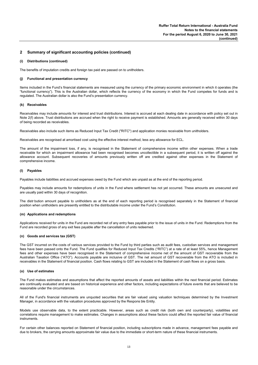#### **(i) Distributions (continued)**

The benefits of imputation credits and foreign tax paid are passed on to unitholders.

#### **(j) Functional and presentation currency**

Items included in the Fund's financial statements are measured using the currency of the primary economic environment in which it operates (the "functional currency"). This is the Australian dollar, which reflects the currency of the economy in which the Fund competes for funds and is regulated. The Australian dollar is also the Fund's presentation currency.

#### **(k) Receivables**

Receivables may include amounts for interest and trust distributions. Interest is accrued at each dealing date in accordance with policy set out in Note 2(f) above. Trust distributions are accrued when the right to receive payment is established. Amounts are generally received within 30 days of being recorded as receivables.

Receivables also include such items as Reduced Input Tax Credit ("RITC") and application monies receivable from unitholders.

Receivables are recognised at amortised cost using the effective interest method, less any allowance for ECL.

The amount of the impairment loss, if any, is recognised in the Statement of comprehensive income within other expenses. When a trade receivable for which an impairment allowance had been recognised becomes uncollectible in a subsequent period, it is written off against the allowance account. Subsequent recoveries of amounts previously written off are credited against other expenses in the Statement of comprehensive income.

#### **(l) Payables**

Payables include liabilities and accrued expenses owed by the Fund which are unpaid as at the end of the reporting period.

Payables may include amounts for redemptions of units in the Fund where settlement has not yet occurred. These amounts are unsecured and are usually paid within 30 days of recognition.

The distr bution amount payable to unitholders as at the end of each reporting period is recognised separately in the Statement of financial position when unitholders are presently entitled to the distributable income under the Fund's Constitution.

#### **(m) Applications and redemptions**

Applications received for units in the Fund are recorded net of any entry fees payable prior to the issue of units in the Fund. Redemptions from the Fund are recorded gross of any exit fees payable after the cancellation of units redeemed.

#### **(n) Goods and services tax (GST)**

The GST incurred on the costs of various services provided to the Fund by third parties such as audit fees, custodian services and management fees have been passed onto the Fund. The Fund qualifies for Reduced Input Tax Credits ("RITC") at a rate of at least 55%, hence Management fees and other expenses have been recognised in the Statement of comprehensive income net of the amount of GST recoverable from the Australian Taxation Office ("ATO"). Accounts payable are inclusive of GST. The net amount of GST recoverable from the ATO is included in receivables in the Statement of financial position. Cash flows relating to GST are included in the Statement of cash flows on a gross basis.

#### **(o) Use of estimates**

The Fund makes estimates and assumptions that affect the reported amounts of assets and liabilities within the next financial period. Estimates are continually evaluated and are based on historical experience and other factors, including expectations of future events that are believed to be reasonable under the circumstances.

All of the Fund's financial instruments are unquoted securities that are fair valued using valuation techniques determined by the Investment Manager, in accordance with the valuation procedures approved by the Respons ble Entity.

Models use observable data, to the extent practicable. However, areas such as credit risk (both own and counterparty), volatilities and correlations require management to make estimates. Changes in assumptions about these factors could affect the reported fair value of financial instruments.

For certain other balances reported on Statement of financial position, including subscriptions made in advance, management fees payable and due to brokers, the carrying amounts approximate fair value due to the immediate or short-term nature of these financial instruments.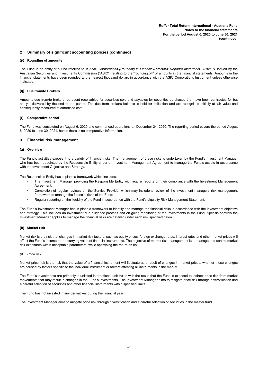#### **(p) Rounding of amounts**

The Fund is an entity of a kind referred to in *ASIC Corporations (Rounding in Financial/Directors' Reports) Instrument 2016/191* issued by the Australian Securities and Investments Commission ("ASIC") relating to the "rounding off" of amounts in the financial statements. Amounts in the financial statements have been rounded to the nearest thousand dollars in accordance with the ASIC Corporations Instrument unless otherwise indicated.

#### **(q) Due from/to Brokers**

Amounts due from/to brokers represent receivables for securities sold and payables for securities purchased that have been contracted for but not yet delivered by the end of the period. The due from brokers balance is held for collection and are recognised initially at fair value and consequently measured at amortised cost.

#### **(r) Comparative period**

The Fund was constituted on August 6, 2020 and commenced operations on December 24, 2020. The reporting period covers the period August 6, 2020 to June 30, 2021, hence there is no comparative information.

#### **3 Financial risk management**

#### **(a) Overview**

The Fund's activities expose it to a variety of financial risks. The management of these risks is undertaken by the Fund's Investment Manager who has been appointed by the Responsible Entity under an Investment Management Agreement to manage the Fund's assets in accordance with the Investment Objective and Strategy.

The Responsible Entity has in place a framework which includes:

- The Investment Manager providing the Responsible Entity with regular reports on their compliance with the Investment Management Agreement;
- Completion of regular reviews on the Service Provider which may include a review of the investment managers risk management framework to manage the financial risks of the Fund;
- Regular reporting on the liquidity of the Fund in accordance with the Fund's Liquidity Risk Management Statement.

The Fund's Investment Manager has in place a framework to identify and manage the financial risks in accordance with the investment objective and strategy. This includes an investment due diligence process and on-going monitoring of the investments in the Fund. Specific controls the Investment Manager applies to manage the financial risks are detailed under each risk specified below.

#### **(b) Market risk**

Market risk is the risk that changes in market risk factors, such as equity prices, foreign exchange rates, interest rates and other market prices will affect the Fund's income or the carrying value of financial instruments. The objective of market risk management is to manage and control market risk exposures within acceptable parameters, while optimising the return on risk.

#### *(i) Price risk*

Market price risk is the risk that the value of a financial instrument will fluctuate as a result of changes in market prices, whether those changes are caused by factors specific to the individual instrument or factors affecting all instruments in the market.

The Fund's investments are primarily in unlisted international unit trusts with the result that the Fund is exposed to indirect price risk from market movements that may result in changes in the Fund's investments. The Investment Manager aims to mitigate price risk through diversification and a careful selection of securities and other financial instruments within specified limits.

The Fund has not invested in any derivatives during the financial year.

The Investment Manager aims to mitigate price risk through diversification and a careful selection of securities in the master fund.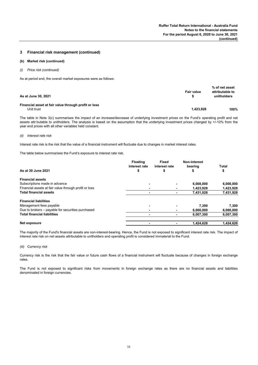#### **3 Financial risk management (continued)**

#### **(b) Market risk (continued)**

*(i) Price risk (continued)*

As at period end, the overall market exposures were as follows:

| As at June 30, 2021                                  | Fair value | % of net asset<br>attributable to<br>unitholders |
|------------------------------------------------------|------------|--------------------------------------------------|
| Financial asset at fair value through profit or loss |            |                                                  |
| Unit trust                                           | 1,423,928  | 100%                                             |

The table in Note 3(c) summarises the impact of an increase/decrease of underlying investment prices on the Fund's operating profit and net assets attr butable to unitholders. The analysis is based on the assumption that the underlying investment prices changed by +/-10% from the year end prices with all other variables held constant.

#### *(ii) Interest rate risk*

Interest rate risk is the risk that the value of a financial instrument will fluctuate due to changes in market interest rates.

The table below summarises the Fund's exposure to interest rate risk.

|                                                       | <b>Floating</b><br>interest rate | <b>Fixed</b><br>interest rate | Non-interest<br>bearing | Total     |
|-------------------------------------------------------|----------------------------------|-------------------------------|-------------------------|-----------|
| As at 30 June 2021                                    | \$                               |                               |                         | \$        |
| <b>Financial assets</b>                               |                                  |                               |                         |           |
| Subscriptions made in advance                         |                                  |                               | 6,008,000               | 6,008,000 |
| Financial assets at fair value through profit or loss |                                  |                               | 1,423,928               | 1,423,928 |
| <b>Total financial assets</b>                         |                                  |                               | 7,431,928               | 7,431,928 |
| <b>Financial liabilities</b>                          |                                  |                               |                         |           |
| Management fees payable                               |                                  |                               | 7,300                   | 7,300     |
| Due to brokers – payable for securities purchased     | ۰                                |                               | 6,000,000               | 6,000,000 |
| <b>Total financial liabilities</b>                    | ٠                                |                               | 6,007,300               | 6,007,300 |
| Net exposure                                          |                                  |                               | 1,424,628               | 1.424.628 |

The majority of the Fund's financial assets are non-interest-bearing. Hence, the Fund is not exposed to significant interest rate risk. The impact of interest rate risk on net assets attributable to unitholders and operating profit is considered immaterial to the Fund.

#### *(iii) Currency risk*

Currency risk is the risk that the fair value or future cash flows of a financial instrument will fluctuate because of changes in foreign exchange rates.

The Fund is not exposed to significant risks from movements in foreign exchange rates as there are no financial assets and liabilities denominated in foreign currencies.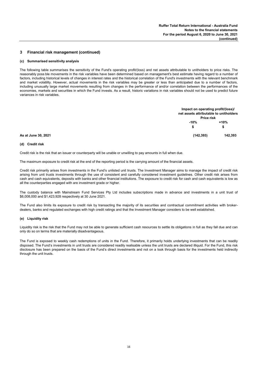#### **3 Financial risk management (continued)**

#### **(c) Summarised sensitivity analysis**

The following table summarises the sensitivity of the Fund's operating profit/(loss) and net assets attributable to unitholders to price risks. The reasonably poss ble movements in the risk variables have been determined based on management's best estimate having regard to a number of factors, including historical levels of changes in interest rates and the historical correlation of the Fund's investments with the relevant benchmark and market volatility. However, actual movements in the risk variables may be greater or less than anticipated due to a number of factors, including unusually large market movements resulting from changes in the performance of and/or correlation between the performances of the economies, markets and securities in which the Fund invests. As a result, historic variations in risk variables should not be used to predict future variances in risk variables.

|                     |            | Impact on operating profit/(loss)/<br>net assets attributable to unitholders<br>Price risk |
|---------------------|------------|--------------------------------------------------------------------------------------------|
|                     | $-10%$     | $+10%$                                                                                     |
|                     | S          | \$                                                                                         |
| As at June 30, 2021 | (142, 393) | 142,393                                                                                    |

#### **(d) Credit risk**

Credit risk is the risk that an issuer or counterparty will be unable or unwilling to pay amounts in full when due.

The maximum exposure to credit risk at the end of the reporting period is the carrying amount of the financial assets.

Credit risk primarily arises from investments in the Fund's unlisted unit trusts. The Investment Manager aims to manage the impact of credit risk arising from unit trusts investments through the use of consistent and carefully considered investment guidelines. Other credit risk arises from cash and cash equivalents, deposits with banks and other financial institutions. The exposure to credit risk for cash and cash equivalents is low as all the counterparties engaged with are investment grade or higher.

The custody balance with Mainstream Fund Services Pty Ltd includes subscriptions made in advance and investments in a unit trust of \$6,008,000 and \$1,423,928 respectively at 30 June 2021.

The Fund also limits its exposure to credit risk by transacting the majority of its securities and contractual commitment activities with brokerdealers, banks and regulated exchanges with high credit ratings and that the Investment Manager considers to be well established.

#### **(e) Liquidity risk**

Liquidity risk is the risk that the Fund may not be able to generate sufficient cash resources to settle its obligations in full as they fall due and can only do so on terms that are materially disadvantageous.

The Fund is exposed to weekly cash redemptions of units in the Fund. Therefore, it primarily holds underlying investments that can be readily disposed. The Fund's investments in unit trusts are considered readily realisable unless the unit trusts are declared illiquid. For the Fund, this risk disclosure has been prepared on the basis of the Fund's direct investments and not on a look through basis for the investments held indirectly through the unit trusts.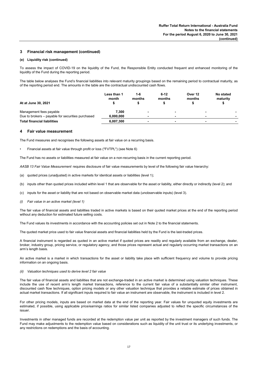#### **3 Financial risk management (continued)**

#### **(e) Liquidity risk (continued)**

To assess the impact of COVID-19 on the liquidity of the Fund, the Responsible Entity conducted frequent and enhanced monitoring of the liquidity of the Fund during the reporting period.

The table below analyses the Fund's financial liabilities into relevant maturity groupings based on the remaining period to contractual maturity, as of the reporting period end. The amounts in the table are the contractual undiscounted cash flows.

| At at June 30, 2021                                                          | Less than 1<br>month | $1 - 6$<br>months | $6 - 12$<br>months | Over 12<br>months | No stated<br>maturity |
|------------------------------------------------------------------------------|----------------------|-------------------|--------------------|-------------------|-----------------------|
| Management fees payable<br>Due to brokers – payable for securities purchased | 7.300<br>6.000.000   |                   | -                  |                   |                       |
| <b>Total financial liabilities</b>                                           | 6,007,300            |                   |                    |                   |                       |

#### **4 Fair value measurement**

The Fund measures and recognises the following assets at fair value on a recurring basis.

• Financial assets at fair value through profit or loss ("FVTPL") (see Note 6)

The Fund has no assets or liabilities measured at fair value on a non-recurring basis in the current reporting period.

*AASB 13 Fair Value Measurement* requires disclosure of fair value measurements by level of the following fair value hierarchy:

- (a) quoted prices (unadjusted) in active markets for identical assets or liabilities (level 1);
- (b) inputs other than quoted prices included within level 1 that are observable for the asset or liability, either directly or indirectly (level 2); and
- (c) inputs for the asset or liability that are not based on observable market data (unobservable inputs) (level 3).
- *(i) Fair value in an active market (level 1)*

The fair value of financial assets and liabilities traded in active markets is based on their quoted market prices at the end of the reporting period without any deduction for estimated future selling costs.

The Fund values its investments in accordance with the accounting policies set out in Note 2 to the financial statements.

The quoted market price used to fair value financial assets and financial liabilities held by the Fund is the last-traded prices.

A financial instrument is regarded as quoted in an active market if quoted prices are readily and regularly available from an exchange, dealer, broker, industry group, pricing service, or regulatory agency, and those prices represent actual and regularly occurring market transactions on an arm's length basis.

An active market is a market in which transactions for the asset or liability take place with sufficient frequency and volume to provide pricing information on an ongoing basis.

#### *(ii) Valuation techniques used to derive level 2 fair value*

The fair value of financial assets and liabilities that are not exchange-traded in an active market is determined using valuation techniques. These include the use of recent arm's length market transactions, reference to the current fair value of a substantially similar other instrument, discounted cash flow techniques, option pricing models or any other valuation technique that provides a reliable estimate of prices obtained in actual market transactions. If all significant inputs required to fair value an instrument are observable, the instrument is included in level 2.

For other pricing models, inputs are based on market data at the end of the reporting year. Fair values for unquoted equity investments are estimated, if possible, using applicable price/earnings ratios for similar listed companies adjusted to reflect the specific circumstances of the issuer.

Investments in other managed funds are recorded at the redemption value per unit as reported by the investment managers of such funds. The Fund may make adjustments to the redemption value based on considerations such as liquidity of the unit trust or its underlying investments, or any restrictions on redemptions and the basis of accounting.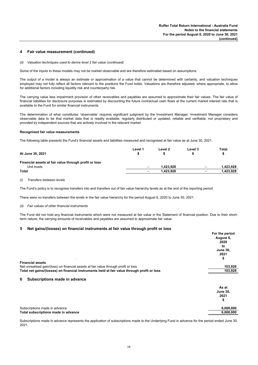#### **4 Fair value measurement (continued)**

*(ii) Valuation techniques used to derive level 2 fair value (continued)*

Some of the inputs to these models may not be market observable and are therefore estimated based on assumptions.

The output of a model is always an estimate or approximation of a value that cannot be determined with certainty, and valuation techniques employed may not fully reflect all factors relevant to the positions the Fund holds. Valuations are therefore adjusted, where appropriate, to allow for additional factors including liquidity risk and counterparty risk.

The carrying value less impairment provision of other receivables and payables are assumed to approximate their fair values. The fair value of financial liabilities for disclosure purposes is estimated by discounting the future contractual cash flows at the current market interest rate that is available to the Fund for similar financial instruments.

The determination of what constitutes 'observable' requires significant judgment by the Investment Manager. Investment Manager considers observable data to be that market data that is readily available, regularly distributed or updated, reliable and verifiable, not proprietary and provided by independent sources that are actively involved in the relevant market.

#### **Recognised fair value measurements**

The following table presents the Fund's financial assets and liabilities measured and recognised at fair value as at June 30, 2021.

| At June 30, 2021                                      | Level 1 | Level 2   | Level 3                  | Total     |
|-------------------------------------------------------|---------|-----------|--------------------------|-----------|
| Financial assets at fair value through profit or loss |         |           |                          |           |
| Unit trusts                                           |         | 1.423.928 | $\overline{\phantom{a}}$ | 1.423.928 |
| <b>Total</b>                                          | ۰       | 1.423.928 | $\overline{\phantom{a}}$ | 1.423.928 |

*(i) Transfers between levels*

The Fund's policy is to recognise transfers into and transfers out of fair value hierarchy levels as at the end of the reporting period.

There were no transfers between the levels in the fair value hierarchy for the period August 6, 2020 to June 30, 2021.

#### *(ii) Fair values of other financial instruments*

The Fund did not hold any financial instruments which were not measured at fair value in the Statement of financial position. Due to their shortterm nature, the carrying amounts of receivables and payables are assumed to approximate fair value.

#### **5 Net gains/(losses) on financial instruments at fair value through profit or loss**

|                                                                                             | For the period  |  |
|---------------------------------------------------------------------------------------------|-----------------|--|
|                                                                                             | August 6,       |  |
|                                                                                             | 2020            |  |
|                                                                                             | to              |  |
|                                                                                             | <b>June 30,</b> |  |
|                                                                                             | 2021            |  |
|                                                                                             | \$              |  |
| <b>Financial assets</b>                                                                     |                 |  |
| Net unrealised gain/(loss) on financial assets at fair value through profit or loss         | 103,928         |  |
| Total net gains/(losses) on financial instruments held at fair value through profit or loss | 103,928         |  |
| Subscriptions made in advance<br>6                                                          |                 |  |
|                                                                                             | As at           |  |
|                                                                                             | <b>June 30,</b> |  |
|                                                                                             | 2021            |  |
|                                                                                             | \$              |  |
|                                                                                             |                 |  |
| Subscriptions made in advance                                                               | 6,008,000       |  |
| Total subscriptions made in advance                                                         |                 |  |
|                                                                                             |                 |  |

Subscriptions made in advance represents the application of subscriptions made to the Underlying Fund in advance for the period ended June 30, 2021.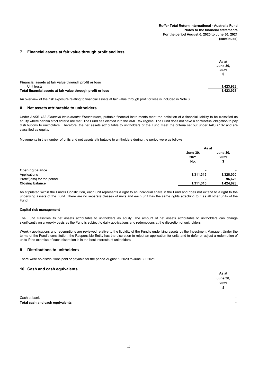#### **7 Financial assets at fair value through profit and loss**

|                                                             | As at<br><b>June 30,</b><br>2021<br>\$ |
|-------------------------------------------------------------|----------------------------------------|
| Financial assets at fair value through profit or loss       |                                        |
| Unit trusts                                                 | 1,423,928                              |
| Total financial assets at fair value through profit or loss | 1,423,928                              |

An overview of the risk exposure relating to financial assets at fair value through profit or loss is included in Note 3.

#### **8 Net assets attributable to unitholders**

Under *AASB 132 Financial instruments: Presentation* , puttable financial instruments meet the definition of a financial liability to be classified as equity where certain strict criteria are met. The Fund has elected into the AMIT tax regime. The Fund does not have a contractual obligation to pay distr butions to unitholders. Therefore, the net assets attr butable to unitholders of the Fund meet the criteria set out under AASB 132 and are classified as equity.

Movements in the number of units and net assets attr butable to unitholders during the period were as follows:

|                              |                                | As at                         |  |  |
|------------------------------|--------------------------------|-------------------------------|--|--|
|                              | <b>June 30,</b><br>2021<br>No. | <b>June 30,</b><br>2021<br>\$ |  |  |
| <b>Opening balance</b>       | ۰                              | ۰                             |  |  |
| Applications                 | 1,311,315                      | 1,328,000                     |  |  |
| Profit/(loss) for the period |                                | 96,628                        |  |  |
| <b>Closing balance</b>       | 1,311,315                      | 1,424,628                     |  |  |
|                              |                                |                               |  |  |

As stipulated within the Fund's Constitution, each unit represents a right to an individual share in the Fund and does not extend to a right to the underlying assets of the Fund. There are no separate classes of units and each unit has the same rights attaching to it as all other units of the Fund.

#### **Capital risk management**

The Fund classifies its net assets attributable to unitholders as equity. The amount of net assets attributable to unitholders can change significantly on a weekly basis as the Fund is subject to daily applications and redemptions at the discretion of unitholders.

Weekly applications and redemptions are reviewed relative to the liquidity of the Fund's underlying assets by the Investment Manager. Under the terms of the Fund's constitution, the Responsible Entity has the discretion to reject an application for units and to defer or adjust a redemption of units if the exercise of such discretion is in the best interests of unitholders.

#### **9 Distributions to unitholders**

There were no distributions paid or payable for the period August 6, 2020 to June 30, 2021.

#### **10 Cash and cash equivalents**

|                                 | As at                    |
|---------------------------------|--------------------------|
|                                 | <b>June 30,</b>          |
|                                 | 2021                     |
|                                 | \$                       |
| Cash at bank                    |                          |
| Total cash and cash equivalents | $\overline{\phantom{a}}$ |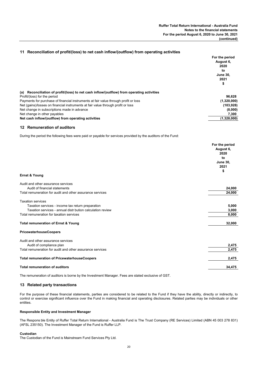#### **11 Reconciliation of profit/(loss) to net cash inflow/(outflow) from operating activities**

|                                                                                               | For the period  |
|-----------------------------------------------------------------------------------------------|-----------------|
|                                                                                               | August 6,       |
|                                                                                               | 2020            |
|                                                                                               | to              |
|                                                                                               | <b>June 30,</b> |
|                                                                                               | 2021            |
|                                                                                               | \$              |
| Reconciliation of profit/(loss) to net cash inflow/(outflow) from operating activities<br>(a) |                 |
| Profit/(loss) for the period                                                                  | 96.628          |
| Payments for purchase of financial instruments at fair value through profit or loss           | (1,320,000)     |
| Net (gains)/losses on financial instruments at fair value through profit or loss              | (103, 928)      |
| Net change in subscriptions made in advance                                                   | (8,000)         |
| Net change in other payables                                                                  | 7,300           |
| Net cash inflow/(outflow) from operating activities                                           | (1.328.000)     |
|                                                                                               |                 |

#### **12 Remuneration of auditors**

During the period the following fees were paid or payable for services provided by the auditors of the Fund:

|                                                            | For the period  |
|------------------------------------------------------------|-----------------|
|                                                            | August 6,       |
|                                                            | 2020            |
|                                                            | to              |
|                                                            | <b>June 30,</b> |
|                                                            | 2021            |
|                                                            | \$              |
| Ernst & Young                                              |                 |
| Audit and other assurance services                         |                 |
| Audit of financial statements                              | 24,000          |
| Total remuneration for audit and other assurance services  | 24,000          |
| <b>Taxation services</b>                                   |                 |
| Taxation services - income tax return preparation          | 5,000           |
| Taxation services - annual distr bution calculation review | 3,000           |
| Total remuneration for taxation services                   | 8,000           |
| Total remuneration of Ernst & Young                        | 32,000          |
| <b>PricewaterhouseCoopers</b>                              |                 |
| Audit and other assurance services                         |                 |
| Audit of compliance plan                                   | 2,475           |
| Total remuneration for audit and other assurance services  | 2,475           |
| <b>Total remuneration of PricewaterhouseCoopers</b>        | 2,475           |
| <b>Total remuneration of auditors</b>                      | 34,475          |
|                                                            |                 |

The remuneration of auditors is borne by the Investment Manager. Fees are stated exclusive of GST.

#### **13 Related party transactions**

For the purpose of these financial statements, parties are considered to be related to the Fund if they have the ability, directly or indirectly, to control or exercise significant influence over the Fund in making financial and operating disclosures. Related parties may be individuals or other entities.

#### **Responsible Entity and Investment Manager**

The Respons ble Entity of Ruffer Total Return International - Australia Fund is The Trust Company (RE Services) Limited (ABN 45 003 278 831) (AFSL 235150). The Investment Manager of the Fund is Ruffer LLP.

#### **Custodian**

The Custodian of the Fund is Mainstream Fund Services Pty Ltd.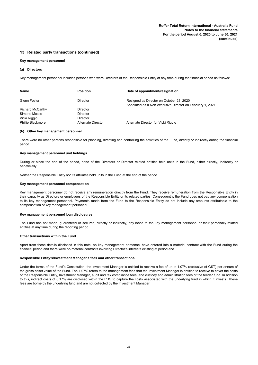#### **13 Related party transactions (continued)**

#### **Key management personnel**

#### **(a) Directors**

Key management personnel includes persons who were Directors of the Responsible Entity at any time during the financial period as follows:

| Name                     | <b>Position</b>    | Date of appointment/resignation                                                                       |
|--------------------------|--------------------|-------------------------------------------------------------------------------------------------------|
| <b>Glenn Foster</b>      | Director           | Resigned as Director on October 23, 2020<br>Appointed as a Non-executive Director on February 1, 2021 |
| <b>Richard McCarthy</b>  | <b>Director</b>    |                                                                                                       |
| Simone Mosse             | <b>Director</b>    |                                                                                                       |
| Vicki Riggio             | <b>Director</b>    |                                                                                                       |
| <b>Phillip Blackmore</b> | Alternate Director | Alternate Director for Vicki Riggio                                                                   |

#### **(b) Other key management personnel**

There were no other persons responsible for planning, directing and controlling the activities of the Fund, directly or indirectly during the financial period.

#### **Key management personnel unit holdings**

During or since the end of the period, none of the Directors or Director related entities held units in the Fund, either directly, indirectly or beneficially.

Neither the Responsible Entity nor its affiliates held units in the Fund at the end of the period.

#### **Key management personnel compensation**

Key management personnel do not receive any remuneration directly from the Fund. They receive remuneration from the Responsible Entity in their capacity as Directors or employees of the Respons ble Entity or its related parties. Consequently, the Fund does not pay any compensation to its key management personnel. Payments made from the Fund to the Respons ble Entity do not include any amounts attributable to the compensation of key management personnel.

#### **Key management personnel loan disclosures**

The Fund has not made, guaranteed or secured, directly or indirectly, any loans to the key management personnel or their personally related entities at any time during the reporting period.

#### **Other transactions within the Fund**

Apart from those details disclosed in this note, no key management personnel have entered into a material contract with the Fund during the financial period and there were no material contracts involving Director's interests existing at period end.

#### **Responsible Entity's/Investment Manager's fees and other transactions**

Under the terms of the Fund's Constitution, the Investment Manager is entitled to receive a fee of up to 1.07% (exclusive of GST) per annum of the gross asset value of the Fund. The 1.07% refers to the management fees that the Investment Manager is entitled to receive to cover the costs of the Respons ble Entity, Investment Manager, audit and tax compliance fees, and custody and administration fees of the feeder fund. In addition to this, indirect costs of 0.17% are disclosed within the PDS to capture the costs associated with the underlying fund in which it invests. These fees are borne by the underlying fund and are not collected by the Investment Manager.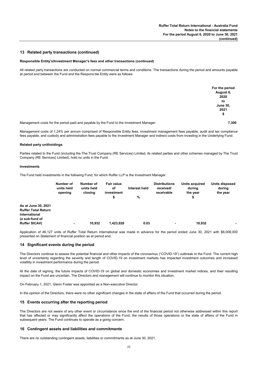#### **13 Related party transactions (continued)**

#### **Responsible Entity's/Investment Manager's fees and other transactions (continued)**

All related party transactions are conducted on normal commercial terms and conditions. The transactions during the period and amounts payable at period end between the Fund and the Respons ble Entity were as follows:

|                                                                                        | For the period  |
|----------------------------------------------------------------------------------------|-----------------|
|                                                                                        | August 6,       |
|                                                                                        | 2020            |
|                                                                                        | to              |
|                                                                                        | <b>June 30,</b> |
|                                                                                        | 2021            |
|                                                                                        | \$              |
| Managament costs for the period paid and payable by the Eund to the Investment Manager | 7.300           |

Management costs for the period paid and payable by the Fund to the Investment Manager **7,300** 

Management costs of 1.24% per annum comprised of Responsible Entity fees, investment management fees payable, audit and tax compliance fees payable, and custody and administration fees payable to the Investment Manager and indirect costs from investing in the Underlying Fund.

#### **Related party unitholdings**

Parties related to the Fund (including the The Trust Company (RE Services) Limited, its related parties and other schemes managed by The Trust Company (RE Services) Limited), hold no units in the Fund.

#### **Investments**

The Fund held investments in the following Fund, for which Ruffer LLP is the Investment Manager.

|                                                                                             | Number of<br>units held<br>opening | Number of<br>units held<br>closing | <b>Fair value</b><br>of<br>investment<br>\$ | Interest held<br>% | <b>Distributions</b><br>received/<br>receivable | Units acquired<br>during<br>the year<br>\$ | Units disposed<br>during<br>the year |
|---------------------------------------------------------------------------------------------|------------------------------------|------------------------------------|---------------------------------------------|--------------------|-------------------------------------------------|--------------------------------------------|--------------------------------------|
| As at June 30, 2021<br><b>Ruffer Total Return</b><br><b>International</b><br>(a sub-fund of |                                    |                                    |                                             |                    |                                                 |                                            |                                      |
| <b>Ruffer SICAV)</b>                                                                        | $\overline{\phantom{a}}$           | 10,932                             | 1,423,928                                   | 0.03               | $\blacksquare$                                  | 10,932                                     | ٠                                    |

Application of 46,127 units of Ruffer Total Return International was made in advance for the period ended June 30, 2021 with \$6,008,000 presented on Statement of financial position as at period end.

#### **14 Significant events during the period**

The Directors continue to assess the potential financial and other impacts of the coronavirus ("COVID-19") outbreak to the Fund. The current highlevel of uncertainty regarding the severity and length of COVID-19 on investment markets has impacted investment outcomes and increased volatility in investment performance during the period.

At the date of signing, the future impacts of COVID-19 on global and domestic economies and investment market indices, and their resulting impact on the Fund are uncertain. The Directors and management will continue to monitor this situation.

On February 1, 2021, Glenn Foster was appointed as a Non-executive Director.

In the opinion of the Directors, there were no other significant changes in the state of affairs of the Fund that occurred during the period.

#### **15 Events occurring after the reporting period**

The Directors are not aware of any other event or circumstance since the end of the financial period not otherwise addressed within this report that has affected or may significantly affect the operations of the Fund, the results of those operations or the state of affairs of the Fund in subsequent years. The Fund continues to operate as a going concern.

#### **16 Contingent assets and liabilities and commitments**

There are no outstanding contingent assets, liabilities or commitments as at June 30, 2021.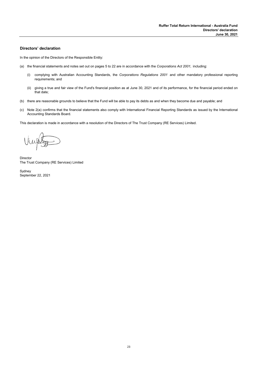#### **Directors' declaration**

In the opinion of the Directors of the Responsible Entity:

- (a) the financial statements and notes set out on pages 5 to 22 are in accordance with the *Corporations Act 2001,* including:
	- (i) complying with Australian Accounting Standards, the *Corporations Regulations 2001* and other mandatory professional reporting requirements; and
	- (ii) giving a true and fair view of the Fund's financial position as at June 30, 2021 and of its performance, for the financial period ended on that date;
- (b) there are reasonable grounds to believe that the Fund will be able to pay its debts as and when they become due and payable; and
- (c) Note 2(a) confirms that the financial statements also comply with International Financial Reporting Standards as issued by the International Accounting Standards Board.

This declaration is made in accordance with a resolution of the Directors of The Trust Company (RE Services) Limited.

Director The Trust Company (RE Services) Limited

Sydney September 22, 2021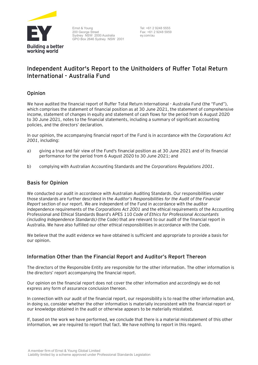

Ernst & Young 200 George Street Sydney NSW 2000 Australia GPO Box 2646 Sydney NSW 2001

Tel: +61 2 9248 5555 Fax: +61 2 9248 5959 ey.com/au

# **Independent Auditor's Report to the Unitholders of** Ruffer Total Return International - Australia Fund

# Opinion

We have audited the financial report of Ruffer Total Return International - Australia Fund (the "Fund"), which comprises the statement of financial position as at 30 June 2021, the statement of comprehensive income, statement of changes in equity and statement of cash flows for the period from 6 August 2020 to 30 June 2021, notes to the financial statements, including a summary of significant accounting policies, and the directors' declaration.

In our opinion, the accompanying financial report of the Fund is in accordance with the *Corporations Act 2001*, including:

- a) giving a true and fair view of the Fund's financial position as at 30 June 2021 and of its financial performance for the period from 6 August 2020 to 30 June 2021; and
- b) complying with Australian Accounting Standards and the *Corporations Regulations 2001*.

## Basis for Opinion

We conducted our audit in accordance with Australian Auditing Standards. Our responsibilities under those standards are further described in the *Auditor's Responsibilities for the Audit of the Financial Report* section of our report. We are independent of the Fund in accordance with the auditor independence requirements of the *Corporations Act 2001* and the ethical requirements of the Accounting Professional and Ethical Standards Board's APES 110 *Code of Ethics for Professional Accountants (including Independence Standards)* (the Code) that are relevant to our audit of the financial report in Australia. We have also fulfilled our other ethical responsibilities in accordance with the Code.

We believe that the audit evidence we have obtained is sufficient and appropriate to provide a basis for our opinion.

# Information Other than the Financial Report and Auditor's Report Thereon

The directors of the Responsible Entity are responsible for the other information. The other information is the directors' report accompanying the financial report.

Our opinion on the financial report does not cover the other information and accordingly we do not express any form of assurance conclusion thereon.

In connection with our audit of the financial report, our responsibility is to read the other information and, in doing so, consider whether the other information is materially inconsistent with the financial report or our knowledge obtained in the audit or otherwise appears to be materially misstated.

If, based on the work we have performed, we conclude that there is a material misstatement of this other information, we are required to report that fact. We have nothing to report in this regard.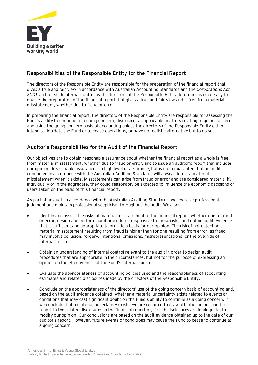

# Responsibilities of the Responsible Entity for the Financial Report

The directors of the Responsible Entity are responsible for the preparation of the financial report that gives a true and fair view in accordance with Australian Accounting Standards and the *Corporations Act 2001* and for such internal control as the directors of the Responsible Entity determine is necessary to enable the preparation of the financial report that gives a true and fair view and is free from material misstatement, whether due to fraud or error.

In preparing the financial report, the directors of the Responsible Entity are responsible for assessing the Fund's ability to continue as a going concern, disclosing, as applicable, matters relating to going concern and using the going concern basis of accounting unless the directors of the Responsible Entity either intend to liquidate the Fund or to cease operations, or have no realistic alternative but to do so.

# Auditor's Responsibilities for the Audit of the Financial Report

Our objectives are to obtain reasonable assurance about whether the financial report as a whole is free from material misstatement, whether due to fraud or error, and to issue an auditor's report that includes our opinion. Reasonable assurance is a high level of assurance, but is not a guarantee that an audit conducted in accordance with the Australian Auditing Standards will always detect a material misstatement when it exists. Misstatements can arise from fraud or error and are considered material if, individually or in the aggregate, they could reasonably be expected to influence the economic decisions of users taken on the basis of this financial report.

As part of an audit in accordance with the Australian Auditing Standards, we exercise professional judgment and maintain professional scepticism throughout the audit. We also:

- Identify and assess the risks of material misstatement of the financial report, whether due to fraud or error, design and perform audit procedures responsive to those risks, and obtain audit evidence that is sufficient and appropriate to provide a basis for our opinion. The risk of not detecting a material misstatement resulting from fraud is higher than for one resulting from error, as fraud may involve collusion, forgery, intentional omissions, misrepresentations, or the override of internal control.
- Obtain an understanding of internal control relevant to the audit in order to design audit procedures that are appropriate in the circumstances, but not for the purpose of expressing an opinion on the effectiveness of the Fund's internal control.
- Evaluate the appropriateness of accounting policies used and the reasonableness of accounting estimates and related disclosures made by the directors of the Responsible Entity.
- Conclude on the appropriateness of the directors' use of the going concern basis of accounting and, based on the audit evidence obtained, whether a material uncertainty exists related to events or conditions that may cast significant doubt on the Fund's ability to continue as a going concern. If we conclude that a material uncertainty exists, we are required to draw attention in our auditor's report to the related disclosures in the financial report or, if such disclosures are inadequate, to modify our opinion. Our conclusions are based on the audit evidence obtained up to the date of our auditor's report. However, future events or conditions may cause the Fund to cease to continue as a going concern.